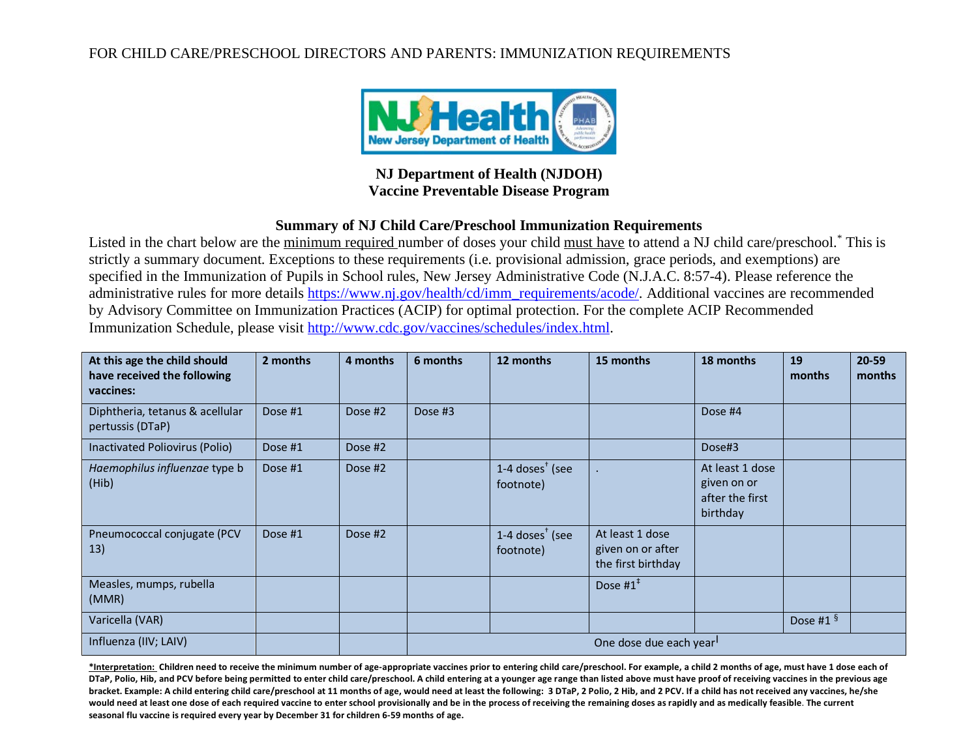## FOR CHILD CARE/PRESCHOOL DIRECTORS AND PARENTS: IMMUNIZATION REQUIREMENTS



## **NJ Department of Health (NJDOH) Vaccine Preventable Disease Program**

### **Summary of NJ Child Care/Preschool Immunization Requirements**

Listed in the chart below are the minimum required number of doses your child must have to attend a NJ child care/preschool.<sup>\*</sup> This is strictly a summary document. Exceptions to these requirements (i.e. provisional admission, grace periods, and exemptions) are specified in the Immunization of Pupils in School rules, New Jersey Administrative Code (N.J.A.C. 8:57-4). Please reference the administrative rules for more details [https://www.nj.gov/health/cd/imm\\_requirements/acode/.](https://www.nj.gov/health/cd/imm_requirements/acode/) Additional vaccines are recommended by Advisory Committee on Immunization Practices (ACIP) for optimal protection. For the complete ACIP Recommended Immunization Schedule, please visit [http://www.cdc.gov/vaccines/schedules/index.html.](http://www.cdc.gov/vaccines/schedules/index.html)

| At this age the child should<br>have received the following<br>vaccines: | 2 months | 4 months | 6 months               | 12 months                                                     | 15 months                                                  | 18 months                                                     | 19<br>months | $20 - 59$<br>months |
|--------------------------------------------------------------------------|----------|----------|------------------------|---------------------------------------------------------------|------------------------------------------------------------|---------------------------------------------------------------|--------------|---------------------|
| Diphtheria, tetanus & acellular<br>pertussis (DTaP)                      | Dose #1  | Dose #2  | Dose #3                |                                                               |                                                            | Dose #4                                                       |              |                     |
| Inactivated Poliovirus (Polio)                                           | Dose #1  | Dose #2  |                        |                                                               |                                                            | Dose#3                                                        |              |                     |
| Haemophilus influenzae type b<br>(Hib)                                   | Dose #1  | Dose #2  |                        | $1-4$ doses <sup><math>\dagger</math></sup> (see<br>footnote) |                                                            | At least 1 dose<br>given on or<br>after the first<br>birthday |              |                     |
| Pneumococcal conjugate (PCV<br>13)                                       | Dose #1  | Dose #2  |                        | 1-4 doses $†$ (see<br>footnote)                               | At least 1 dose<br>given on or after<br>the first birthday |                                                               |              |                     |
| Measles, mumps, rubella<br>(MMR)                                         |          |          |                        |                                                               | Dose $#1^*$                                                |                                                               |              |                     |
| Varicella (VAR)                                                          |          |          |                        |                                                               |                                                            |                                                               | Dose #1 $§$  |                     |
| Influenza (IIV; LAIV)                                                    |          |          | One dose due each year |                                                               |                                                            |                                                               |              |                     |

**\*Interpretation: Children need to receive the minimum number of age-appropriate vaccines prior to entering child care/preschool. For example, a child 2 months of age, must have 1 dose each of DTaP, Polio, Hib, and PCV before being permitted to enter child care/preschool. A child entering at a younger age range than listed above must have proof of receiving vaccines in the previous age**  bracket. Example: A child entering child care/preschool at 11 months of age, would need at least the following: 3 DTaP, 2 Polio, 2 Hib, and 2 PCV. If a child has not received any vaccines, he/she **would need at least one dose of each required vaccine to enter school provisionally and be in the process of receiving the remaining doses as rapidly and as medically feasible**. **The current seasonal flu vaccine is required every year by December 31 for children 6-59 months of age.**